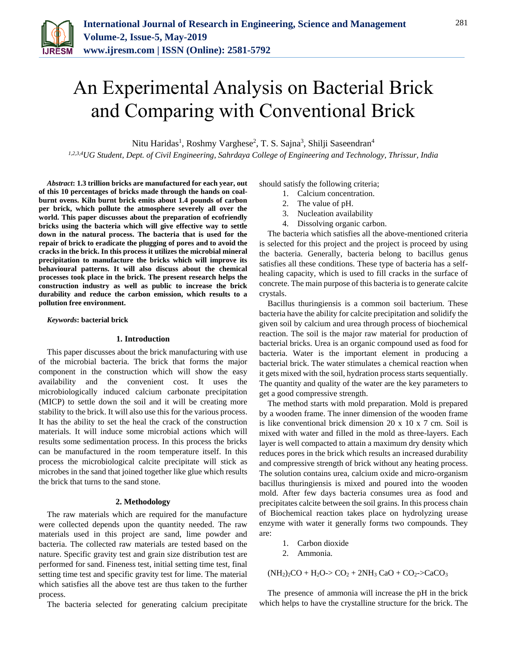

# An Experimental Analysis on Bacterial Brick and Comparing with Conventional Brick

Nitu Haridas<sup>1</sup>, Roshmy Varghese<sup>2</sup>, T. S. Sajna<sup>3</sup>, Shilji Saseendran<sup>4</sup>

*1,2,3,4UG Student, Dept. of Civil Engineering, Sahrdaya College of Engineering and Technology, Thrissur, India*

*Abstract***: 1.3 trillion bricks are manufactured for each year, out of this 10 percentages of bricks made through the hands on coalburnt ovens. Kiln burnt brick emits about 1.4 pounds of carbon per brick, which pollute the atmosphere severely all over the world. This paper discusses about the preparation of ecofriendly bricks using the bacteria which will give effective way to settle down in the natural process. The bacteria that is used for the repair of brick to eradicate the plugging of pores and to avoid the cracks in the brick. In this process it utilizes the microbial mineral precipitation to manufacture the bricks which will improve its behavioural patterns. It will also discuss about the chemical processes took place in the brick. The present research helps the construction industry as well as public to increase the brick durability and reduce the carbon emission, which results to a pollution free environment.**

#### *Keywords***: bacterial brick**

#### **1. Introduction**

This paper discusses about the brick manufacturing with use of the microbial bacteria. The brick that forms the major component in the construction which will show the easy availability and the convenient cost. It uses the microbiologically induced calcium carbonate precipitation (MICP) to settle down the soil and it will be creating more stability to the brick. It will also use this for the various process. It has the ability to set the heal the crack of the construction materials. It will induce some microbial actions which will results some sedimentation process. In this process the bricks can be manufactured in the room temperature itself. In this process the microbiological calcite precipitate will stick as microbes in the sand that joined together like glue which results the brick that turns to the sand stone.

#### **2. Methodology**

The raw materials which are required for the manufacture were collected depends upon the quantity needed. The raw materials used in this project are sand, lime powder and bacteria. The collected raw materials are tested based on the nature. Specific gravity test and grain size distribution test are performed for sand. Fineness test, initial setting time test, final setting time test and specific gravity test for lime. The material which satisfies all the above test are thus taken to the further process.

The bacteria selected for generating calcium precipitate

should satisfy the following criteria;

- 1. Calcium concentration.
- 2. The value of pH.
- 3. Nucleation availability
- 4. Dissolving organic carbon.

The bacteria which satisfies all the above-mentioned criteria is selected for this project and the project is proceed by using the bacteria. Generally, bacteria belong to bacillus genus satisfies all these conditions. These type of bacteria has a selfhealing capacity, which is used to fill cracks in the surface of concrete. The main purpose of this bacteria is to generate calcite crystals.

Bacillus thuringiensis is a common soil bacterium. These bacteria have the ability for calcite precipitation and solidify the given soil by calcium and urea through process of biochemical reaction. The soil is the major raw material for production of bacterial bricks. Urea is an organic compound used as food for bacteria. Water is the important element in producing a bacterial brick. The water stimulates a chemical reaction when it gets mixed with the soil, hydration process starts sequentially. The quantity and quality of the water are the key parameters to get a good compressive strength.

The method starts with mold preparation. Mold is prepared by a wooden frame. The inner dimension of the wooden frame is like conventional brick dimension 20 x 10 x 7 cm. Soil is mixed with water and filled in the mold as three-layers. Each layer is well compacted to attain a maximum dry density which reduces pores in the brick which results an increased durability and compressive strength of brick without any heating process. The solution contains urea, calcium oxide and micro-organism bacillus thuringiensis is mixed and poured into the wooden mold. After few days bacteria consumes urea as food and precipitates calcite between the soil grains. In this process chain of Biochemical reaction takes place on hydrolyzing urease enzyme with water it generally forms two compounds. They are:

- 1. Carbon dioxide
- 2. Ammonia.

 $(NH_2)_2CO + H_2O > CO_2 + 2NH_3 CaO + CO_2 > CaCO_3$ 

The presence of ammonia will increase the pH in the brick which helps to have the crystalline structure for the brick. The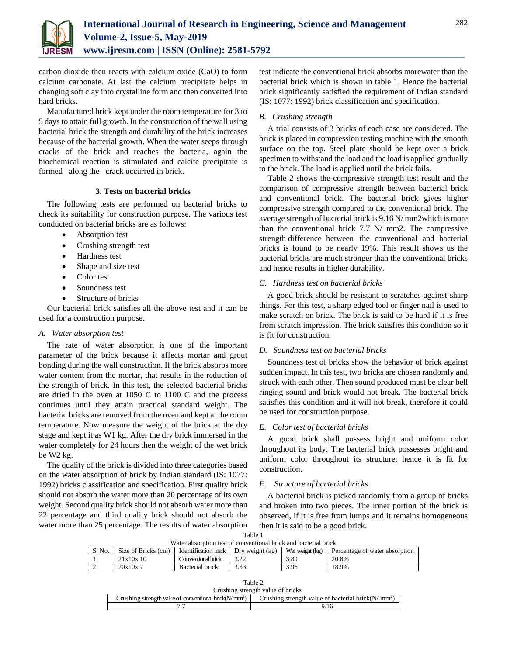

carbon dioxide then reacts with calcium oxide (CaO) to form calcium carbonate. At last the calcium precipitate helps in changing soft clay into crystalline form and then converted into hard bricks.

Manufactured brick kept under the room temperature for 3 to 5 days to attain full growth. In the construction of the wall using bacterial brick the strength and durability of the brick increases because of the bacterial growth. When the water seeps through cracks of the brick and reaches the bacteria, again the biochemical reaction is stimulated and calcite precipitate is formed along the crack occurred in brick.

## **3. Tests on bacterial bricks**

The following tests are performed on bacterial bricks to check its suitability for construction purpose. The various test conducted on bacterial bricks are as follows:

- Absorption test
- Crushing strength test
- Hardness test
- Shape and size test
- Color test
- Soundness test
- Structure of bricks

Our bacterial brick satisfies all the above test and it can be used for a construction purpose.

# *A. Water absorption test*

The rate of water absorption is one of the important parameter of the brick because it affects mortar and grout bonding during the wall construction. If the brick absorbs more water content from the mortar, that results in the reduction of the strength of brick. In this test, the selected bacterial bricks are dried in the oven at 1050 C to 1100 C and the process continues until they attain practical standard weight. The bacterial bricks are removed from the oven and kept at the room temperature. Now measure the weight of the brick at the dry stage and kept it as W1 kg. After the dry brick immersed in the water completely for 24 hours then the weight of the wet brick be W2 kg.

The quality of the brick is divided into three categories based on the water absorption of brick by Indian standard (IS: 1077: 1992) bricks classification and specification. First quality brick should not absorb the water more than 20 percentage of its own weight. Second quality brick should not absorb water more than 22 percentage and third quality brick should not absorb the water more than 25 percentage. The results of water absorption test indicate the conventional brick absorbs morewater than the bacterial brick which is shown in table 1. Hence the bacterial brick significantly satisfied the requirement of Indian standard (IS: 1077: 1992) brick classification and specification.

# *B. Crushing strength*

A trial consists of 3 bricks of each case are considered. The brick is placed in compression testing machine with the smooth surface on the top. Steel plate should be kept over a brick specimen to withstand the load and the load is applied gradually to the brick. The load is applied until the brick fails.

Table 2 shows the compressive strength test result and the comparison of compressive strength between bacterial brick and conventional brick. The bacterial brick gives higher compressive strength compared to the conventional brick. The average strength of bacterial brick is 9.16 N/ mm2which is more than the conventional brick 7.7 N/ mm2. The compressive strength difference between the conventional and bacterial bricks is found to be nearly 19%. This result shows us the bacterial bricks are much stronger than the conventional bricks and hence results in higher durability.

# *C. Hardness test on bacterial bricks*

A good brick should be resistant to scratches against sharp things. For this test, a sharp edged tool or finger nail is used to make scratch on brick. The brick is said to be hard if it is free from scratch impression. The brick satisfies this condition so it is fit for construction.

# *D. Soundness test on bacterial bricks*

Soundness test of bricks show the behavior of brick against sudden impact. In this test, two bricks are chosen randomly and struck with each other. Then sound produced must be clear bell ringing sound and brick would not break. The bacterial brick satisfies this condition and it will not break, therefore it could be used for construction purpose.

# *E. Color test of bacterial bricks*

A good brick shall possess bright and uniform color throughout its body. The bacterial brick possesses bright and uniform color throughout its structure; hence it is fit for construction.

# *F. Structure of bacterial bricks*

A bacterial brick is picked randomly from a group of bricks and broken into two pieces. The inner portion of the brick is observed, if it is free from lumps and it remains homogeneous then it is said to be a good brick.

|--|

| Water absorption test of conventional brick and bacterial brick |                     |                     |                   |                 |                                |  |
|-----------------------------------------------------------------|---------------------|---------------------|-------------------|-----------------|--------------------------------|--|
| S. No.                                                          | Size of Bricks (cm) | Identification mark | Dry weight $(kg)$ | Wet weight (kg) | Percentage of water absorption |  |
|                                                                 | 21x10x10            | Conventional brick  |                   | 3.89            | 20.8%                          |  |
|                                                                 | 20x10x7             | Bacterial brick     | 3.33              | 3.96            | 18.9%                          |  |

| Table 2                                                   |                                                        |  |  |  |  |
|-----------------------------------------------------------|--------------------------------------------------------|--|--|--|--|
| Crushing strength value of bricks                         |                                                        |  |  |  |  |
| Crushing strength value of conventional brick( $N/mm^2$ ) | Crushing strength value of bacterial brick( $N/mm^2$ ) |  |  |  |  |
|                                                           | 9.16                                                   |  |  |  |  |